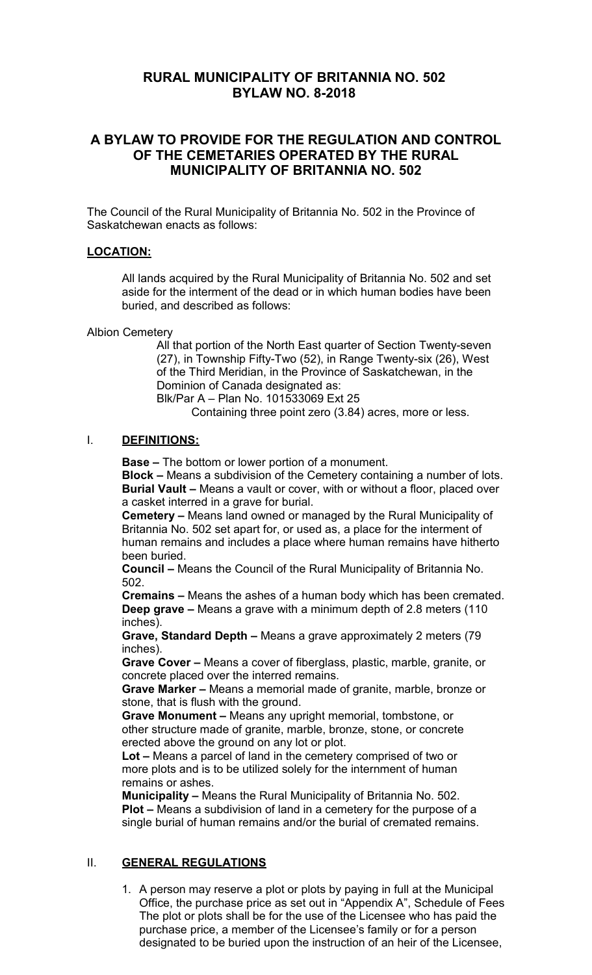# **RURAL MUNICIPALITY OF BRITANNIA NO. 502 BYLAW NO. 8-2018**

## **A BYLAW TO PROVIDE FOR THE REGULATION AND CONTROL OF THE CEMETARIES OPERATED BY THE RURAL MUNICIPALITY OF BRITANNIA NO. 502**

The Council of the Rural Municipality of Britannia No. 502 in the Province of Saskatchewan enacts as follows:

#### **LOCATION:**

All lands acquired by the Rural Municipality of Britannia No. 502 and set aside for the interment of the dead or in which human bodies have been buried, and described as follows:

Albion Cemetery

All that portion of the North East quarter of Section Twenty-seven (27), in Township Fifty-Two (52), in Range Twenty-six (26), West of the Third Meridian, in the Province of Saskatchewan, in the Dominion of Canada designated as: Blk/Par A – Plan No. 101533069 Ext 25

Containing three point zero (3.84) acres, more or less.

#### I. **DEFINITIONS:**

**Base –** The bottom or lower portion of a monument.

**Block –** Means a subdivision of the Cemetery containing a number of lots. **Burial Vault –** Means a vault or cover, with or without a floor, placed over a casket interred in a grave for burial.

**Cemetery –** Means land owned or managed by the Rural Municipality of Britannia No. 502 set apart for, or used as, a place for the interment of human remains and includes a place where human remains have hitherto been buried.

**Council –** Means the Council of the Rural Municipality of Britannia No. 502.

**Cremains –** Means the ashes of a human body which has been cremated. **Deep grave –** Means a grave with a minimum depth of 2.8 meters (110 inches).

**Grave, Standard Depth –** Means a grave approximately 2 meters (79 inches).

**Grave Cover –** Means a cover of fiberglass, plastic, marble, granite, or concrete placed over the interred remains.

**Grave Marker –** Means a memorial made of granite, marble, bronze or stone, that is flush with the ground.

**Grave Monument –** Means any upright memorial, tombstone, or other structure made of granite, marble, bronze, stone, or concrete erected above the ground on any lot or plot.

**Lot –** Means a parcel of land in the cemetery comprised of two or more plots and is to be utilized solely for the internment of human remains or ashes.

**Municipality –** Means the Rural Municipality of Britannia No. 502. **Plot –** Means a subdivision of land in a cemetery for the purpose of a single burial of human remains and/or the burial of cremated remains.

#### II. **GENERAL REGULATIONS**

1. A person may reserve a plot or plots by paying in full at the Municipal Office, the purchase price as set out in "Appendix A", Schedule of Fees The plot or plots shall be for the use of the Licensee who has paid the purchase price, a member of the Licensee's family or for a person designated to be buried upon the instruction of an heir of the Licensee,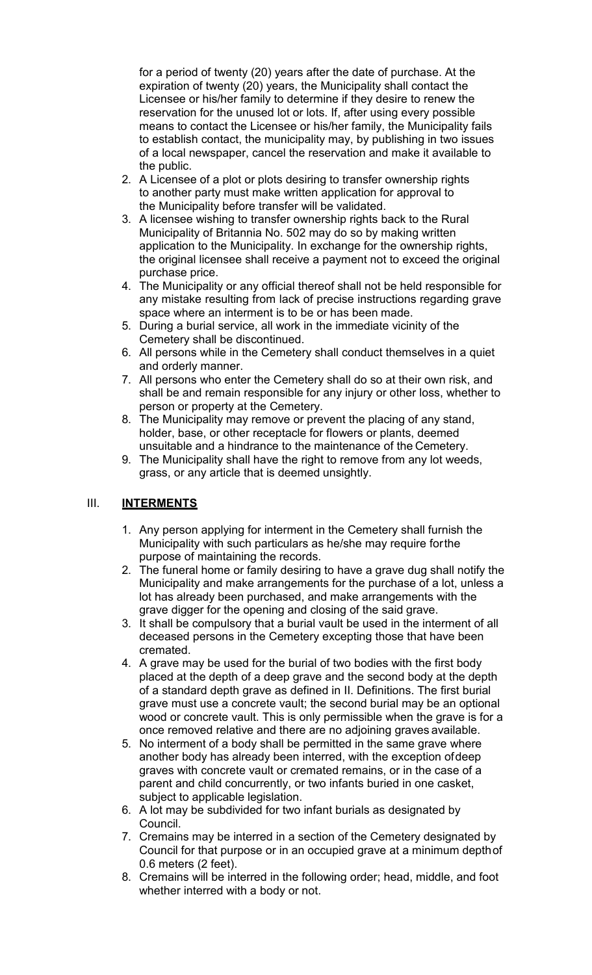for a period of twenty (20) years after the date of purchase. At the expiration of twenty (20) years, the Municipality shall contact the Licensee or his/her family to determine if they desire to renew the reservation for the unused lot or lots. If, after using every possible means to contact the Licensee or his/her family, the Municipality fails to establish contact, the municipality may, by publishing in two issues of a local newspaper, cancel the reservation and make it available to the public.

- 2. A Licensee of a plot or plots desiring to transfer ownership rights to another party must make written application for approval to the Municipality before transfer will be validated.
- 3. A licensee wishing to transfer ownership rights back to the Rural Municipality of Britannia No. 502 may do so by making written application to the Municipality. In exchange for the ownership rights, the original licensee shall receive a payment not to exceed the original purchase price.
- 4. The Municipality or any official thereof shall not be held responsible for any mistake resulting from lack of precise instructions regarding grave space where an interment is to be or has been made.
- 5. During a burial service, all work in the immediate vicinity of the Cemetery shall be discontinued.
- 6. All persons while in the Cemetery shall conduct themselves in a quiet and orderly manner.
- 7. All persons who enter the Cemetery shall do so at their own risk, and shall be and remain responsible for any injury or other loss, whether to person or property at the Cemetery.
- 8. The Municipality may remove or prevent the placing of any stand, holder, base, or other receptacle for flowers or plants, deemed unsuitable and a hindrance to the maintenance of the Cemetery.
- 9. The Municipality shall have the right to remove from any lot weeds, grass, or any article that is deemed unsightly.

## III. **INTERMENTS**

- 1. Any person applying for interment in the Cemetery shall furnish the Municipality with such particulars as he/she may require forthe purpose of maintaining the records.
- 2. The funeral home or family desiring to have a grave dug shall notify the Municipality and make arrangements for the purchase of a lot, unless a lot has already been purchased, and make arrangements with the grave digger for the opening and closing of the said grave.
- 3. It shall be compulsory that a burial vault be used in the interment of all deceased persons in the Cemetery excepting those that have been cremated.
- 4. A grave may be used for the burial of two bodies with the first body placed at the depth of a deep grave and the second body at the depth of a standard depth grave as defined in II. Definitions. The first burial grave must use a concrete vault; the second burial may be an optional wood or concrete vault. This is only permissible when the grave is for a once removed relative and there are no adjoining graves available.
- 5. No interment of a body shall be permitted in the same grave where another body has already been interred, with the exception ofdeep graves with concrete vault or cremated remains, or in the case of a parent and child concurrently, or two infants buried in one casket, subject to applicable legislation.
- 6. A lot may be subdivided for two infant burials as designated by Council.
- 7. Cremains may be interred in a section of the Cemetery designated by Council for that purpose or in an occupied grave at a minimum depthof 0.6 meters (2 feet).
- 8. Cremains will be interred in the following order; head, middle, and foot whether interred with a body or not.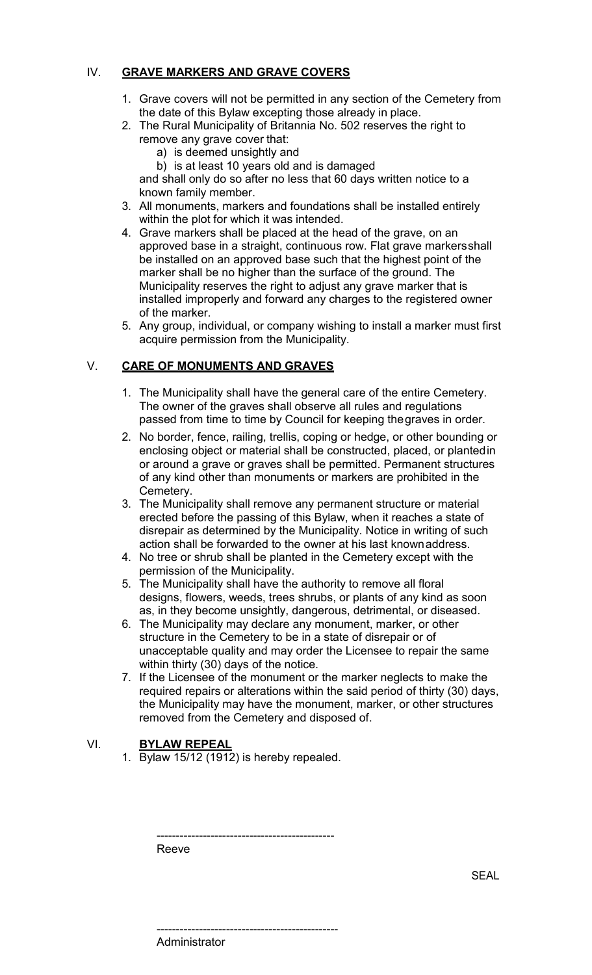### IV. **GRAVE MARKERS AND GRAVE COVERS**

- 1. Grave covers will not be permitted in any section of the Cemetery from the date of this Bylaw excepting those already in place.
- 2. The Rural Municipality of Britannia No. 502 reserves the right to remove any grave cover that:
	- a) is deemed unsightly and
	- b) is at least 10 years old and is damaged

and shall only do so after no less that 60 days written notice to a known family member.

- 3. All monuments, markers and foundations shall be installed entirely within the plot for which it was intended.
- 4. Grave markers shall be placed at the head of the grave, on an approved base in a straight, continuous row. Flat grave markersshall be installed on an approved base such that the highest point of the marker shall be no higher than the surface of the ground. The Municipality reserves the right to adjust any grave marker that is installed improperly and forward any charges to the registered owner of the marker.
- 5. Any group, individual, or company wishing to install a marker must first acquire permission from the Municipality.

### V. **CARE OF MONUMENTS AND GRAVES**

- 1. The Municipality shall have the general care of the entire Cemetery. The owner of the graves shall observe all rules and regulations passed from time to time by Council for keeping thegraves in order.
- 2. No border, fence, railing, trellis, coping or hedge, or other bounding or enclosing object or material shall be constructed, placed, or plantedin or around a grave or graves shall be permitted. Permanent structures of any kind other than monuments or markers are prohibited in the Cemetery.
- 3. The Municipality shall remove any permanent structure or material erected before the passing of this Bylaw, when it reaches a state of disrepair as determined by the Municipality. Notice in writing of such action shall be forwarded to the owner at his last knownaddress.
- 4. No tree or shrub shall be planted in the Cemetery except with the permission of the Municipality.
- 5. The Municipality shall have the authority to remove all floral designs, flowers, weeds, trees shrubs, or plants of any kind as soon as, in they become unsightly, dangerous, detrimental, or diseased.
- 6. The Municipality may declare any monument, marker, or other structure in the Cemetery to be in a state of disrepair or of unacceptable quality and may order the Licensee to repair the same within thirty (30) days of the notice.
- 7. If the Licensee of the monument or the marker neglects to make the required repairs or alterations within the said period of thirty (30) days, the Municipality may have the monument, marker, or other structures removed from the Cemetery and disposed of.

## VI. **BYLAW REPEAL**

1. Bylaw 15/12 (1912) is hereby repealed.

----------------------------------------------

Reeve

----------------------------------------------- **Administrator**